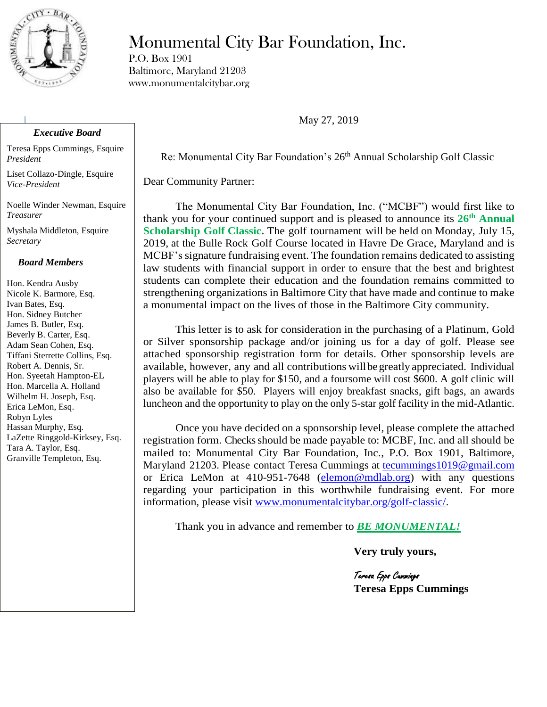

#### *Executive Board*

Teresa Epps Cummings, Esquire *President*

Liset Collazo-Dingle, Esquire *Vice-President* 

Noelle Winder Newman, Esquire *Treasurer*

Myshala Middleton, Esquire *Secretary*

#### *Board Members*

Hon. Kendra Ausby Nicole K. Barmore, Esq. Ivan Bates, Esq. Hon. Sidney Butcher James B. Butler, Esq. Beverly B. Carter, Esq. Adam Sean Cohen, Esq. Tiffani Sterrette Collins, Esq. Robert A. Dennis, Sr. Hon. Syeetah Hampton-EL Hon. Marcella A. Holland Wilhelm H. Joseph, Esq. Erica LeMon, Esq. Robyn Lyles Hassan Murphy, Esq. LaZette Ringgold-Kirksey, Esq. Tara A. Taylor, Esq. Granville Templeton, Esq.

# Monumental City Bar Foundation, Inc.

P.O. Box 1901 Baltimore, Maryland 21203 www.monumentalcitybar.org

May 27, 2019

Re: Monumental City Bar Foundation's 26<sup>th</sup> Annual Scholarship Golf Classic

Dear Community Partner:

The Monumental City Bar Foundation, Inc. ("MCBF") would first like to thank you for your continued support and is pleased to announce its **26 th Annual Scholarship Golf Classic.** The golf tournament will be held on Monday, July 15, 2019, at the Bulle Rock Golf Course located in Havre De Grace, Maryland and is MCBF's signature fundraising event. The foundation remains dedicated to assisting law students with financial support in order to ensure that the best and brightest students can complete their education and the foundation remains committed to strengthening organizations in Baltimore City that have made and continue to make a monumental impact on the lives of those in the Baltimore City community.

This letter is to ask for consideration in the purchasing of a Platinum, Gold or Silver sponsorship package and/or joining us for a day of golf. Please see attached sponsorship registration form for details. Other sponsorship levels are available, however, any and all contributions willbegreatly appreciated. Individual players will be able to play for \$150, and a foursome will cost \$600. A golf clinic will also be available for \$50. Players will enjoy breakfast snacks, gift bags, an awards luncheon and the opportunity to play on the only 5-star golf facility in the mid-Atlantic.

Once you have decided on a sponsorship level, please complete the attached registration form. Checks should be made payable to: MCBF, Inc. and all should be mailed to: Monumental City Bar Foundation, Inc., P.O. Box 1901, Baltimore, Maryland 21203. Please contact Teresa Cummings at [tecummings1019@gmail.com](mailto:tecummings1019@gmail.com) or Erica LeMon at 410-951-7648 [\(elemon@mdlab.org\)](mailto:elemon@mdlab.org) with any questions regarding your participation in this worthwhile fundraising event. For more information, please visit [www.monumentalcitybar.org/golf-classic/.](http://www.monumentalcitybar.org/golf-classic/)

Thank you in advance and remember to *BE MONUMENTAL!*

**Very truly yours,**

Teresa Epps Cummings **Teresa Epps Cummings**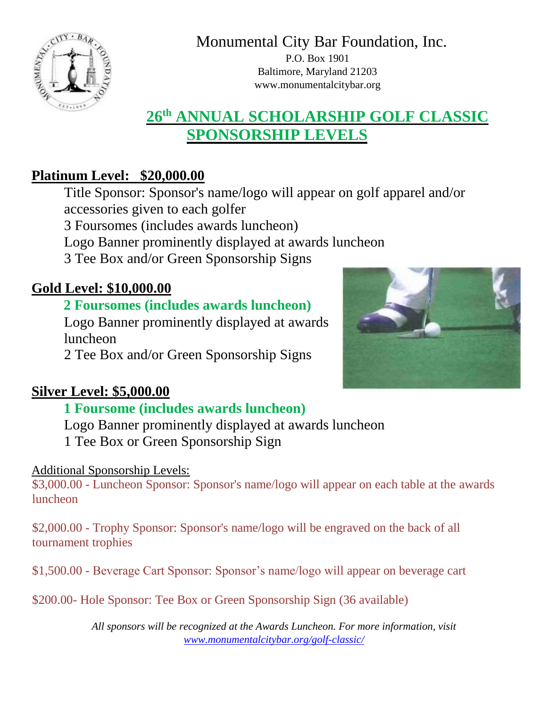

Monumental City Bar Foundation, Inc.

P.O. Box 1901 Baltimore, Maryland 21203 www.monumentalcitybar.org

# **26th ANNUAL SCHOLARSHIP GOLF CLASSIC SPONSORSHIP LEVELS**

## **Platinum Level: \$20,000.00**

Title Sponsor: Sponsor's name/logo will appear on golf apparel and/or accessories given to each golfer

3 Foursomes (includes awards luncheon)

Logo Banner prominently displayed at awards luncheon

3 Tee Box and/or Green Sponsorship Signs

## **Gold Level: \$10,000.00**

## **2 Foursomes (includes awards luncheon)**

Logo Banner prominently displayed at awards luncheon

2 Tee Box and/or Green Sponsorship Signs



## **Silver Level: \$5,000.00**

## **1 Foursome (includes awards luncheon)**

Logo Banner prominently displayed at awards luncheon

1 Tee Box or Green Sponsorship Sign

#### Additional Sponsorship Levels:

\$3,000.00 - Luncheon Sponsor: Sponsor's name/logo will appear on each table at the awards luncheon

\$2,000.00 - Trophy Sponsor: Sponsor's name/logo will be engraved on the back of all tournament trophies

\$1,500.00 - Beverage Cart Sponsor: Sponsor's name/logo will appear on beverage cart

\$200.00- Hole Sponsor: Tee Box or Green Sponsorship Sign (36 available)

*All sponsors will be recognized at the Awards Luncheon. For more information, visit [www.monumentalcitybar.org/golf-classic/](http://www.monumentalcitybar.org/golf-classic/)*